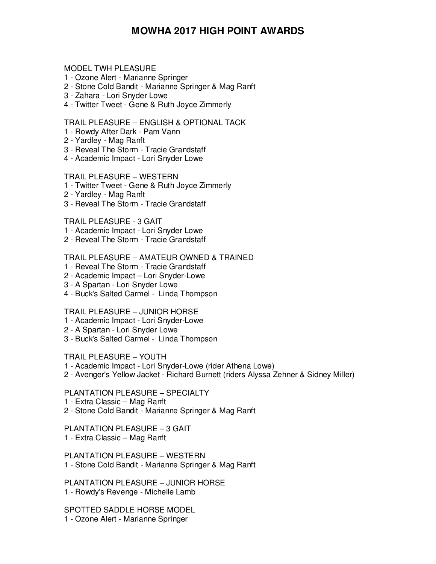# **MOWHA 2017 HIGH POINT AWARDS**

#### MODEL TWH PLEASURE

- 1 Ozone Alert Marianne Springer
- 2 Stone Cold Bandit Marianne Springer & Mag Ranft
- 3 Zahara Lori Snyder Lowe
- 4 Twitter Tweet Gene & Ruth Joyce Zimmerly

TRAIL PLEASURE – ENGLISH & OPTIONAL TACK

- 1 Rowdy After Dark Pam Vann
- 2 Yardley Mag Ranft
- 3 Reveal The Storm Tracie Grandstaff
- 4 Academic Impact Lori Snyder Lowe

#### TRAIL PLEASURE – WESTERN

- 1 Twitter Tweet Gene & Ruth Joyce Zimmerly
- 2 Yardley Mag Ranft
- 3 Reveal The Storm Tracie Grandstaff

TRAIL PLEASURE - 3 GAIT

- 1 Academic Impact Lori Snyder Lowe
- 2 Reveal The Storm Tracie Grandstaff

#### TRAIL PLEASURE – AMATEUR OWNED & TRAINED

- 1 Reveal The Storm Tracie Grandstaff
- 2 Academic Impact Lori Snyder-Lowe
- 3 A Spartan Lori Snyder Lowe
- 4 Buck's Salted Carmel Linda Thompson

TRAIL PLEASURE – JUNIOR HORSE

- 1 Academic Impact Lori Snyder-Lowe
- 2 A Spartan Lori Snyder Lowe
- 3 Buck's Salted Carmel Linda Thompson

TRAIL PLEASURE – YOUTH

- 1 Academic Impact Lori Snyder-Lowe (rider Athena Lowe)
- 2 Avenger's Yellow Jacket Richard Burnett (riders Alyssa Zehner & Sidney Miller)

# PLANTATION PLEASURE – SPECIALTY

- 1 Extra Classic Mag Ranft
- 2 Stone Cold Bandit Marianne Springer & Mag Ranft

# PLANTATION PLEASURE – 3 GAIT

1 - Extra Classic – Mag Ranft

PLANTATION PLEASURE – WESTERN 1 - Stone Cold Bandit - Marianne Springer & Mag Ranft

PLANTATION PLEASURE – JUNIOR HORSE 1 - Rowdy's Revenge - Michelle Lamb

SPOTTED SADDLE HORSE MODEL 1 - Ozone Alert - Marianne Springer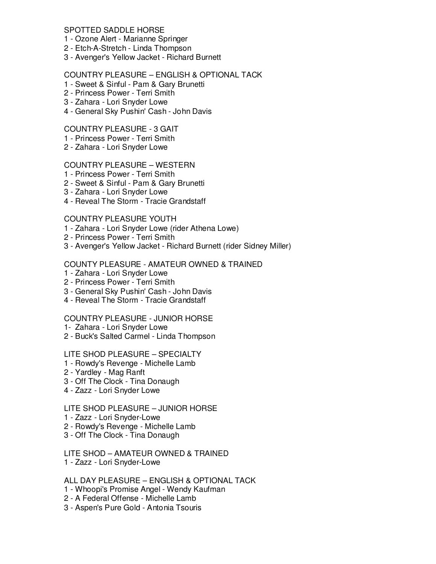# SPOTTED SADDLE HORSE

- 1 Ozone Alert Marianne Springer
- 2 Etch-A-Stretch Linda Thompson
- 3 Avenger's Yellow Jacket Richard Burnett

# COUNTRY PLEASURE – ENGLISH & OPTIONAL TACK

- 1 Sweet & Sinful Pam & Gary Brunetti
- 2 Princess Power Terri Smith
- 3 Zahara Lori Snyder Lowe
- 4 General Sky Pushin' Cash John Davis

# COUNTRY PLEASURE - 3 GAIT

- 1 Princess Power Terri Smith
- 2 Zahara Lori Snyder Lowe

#### COUNTRY PLEASURE – WESTERN

- 1 Princess Power Terri Smith
- 2 Sweet & Sinful Pam & Gary Brunetti
- 3 Zahara Lori Snyder Lowe
- 4 Reveal The Storm Tracie Grandstaff

#### COUNTRY PLEASURE YOUTH

- 1 Zahara Lori Snyder Lowe (rider Athena Lowe)
- 2 Princess Power Terri Smith
- 3 Avenger's Yellow Jacket Richard Burnett (rider Sidney Miller)

# COUNTY PLEASURE - AMATEUR OWNED & TRAINED

- 1 Zahara Lori Snyder Lowe
- 2 Princess Power Terri Smith
- 3 General Sky Pushin' Cash John Davis
- 4 Reveal The Storm Tracie Grandstaff

#### COUNTRY PLEASURE - JUNIOR HORSE

- 1- Zahara Lori Snyder Lowe
- 2 Buck's Salted Carmel Linda Thompson

#### LITE SHOD PLEASURE – SPECIALTY

- 1 Rowdy's Revenge Michelle Lamb
- 2 Yardley Mag Ranft
- 3 Off The Clock Tina Donaugh
- 4 Zazz Lori Snyder Lowe

# LITE SHOD PLEASURE – JUNIOR HORSE

- 1 Zazz Lori Snyder-Lowe
- 2 Rowdy's Revenge Michelle Lamb
- 3 Off The Clock Tina Donaugh

# LITE SHOD – AMATEUR OWNED & TRAINED

1 - Zazz - Lori Snyder-Lowe

#### ALL DAY PLEASURE – ENGLISH & OPTIONAL TACK

- 1 Whoopi's Promise Angel Wendy Kaufman
- 2 A Federal Offense Michelle Lamb
- 3 Aspen's Pure Gold Antonia Tsouris